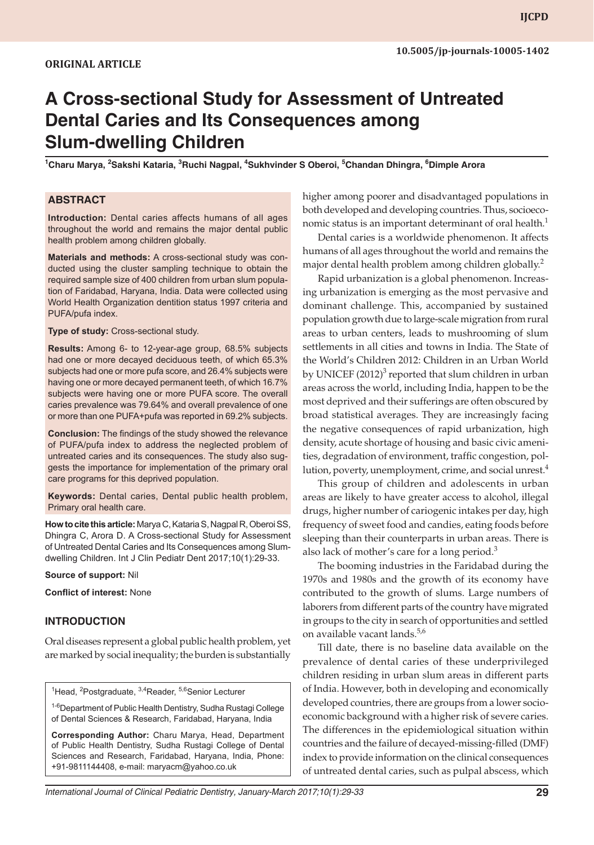# **A Cross-sectional Study for Assessment of Untreated Dental Caries and Its Consequences among Slum-dwelling Children**

**1 Charu Marya, <sup>2</sup> Sakshi Kataria, <sup>3</sup> Ruchi Nagpal, 4 Sukhvinder S Oberoi, 5 Chandan Dhingra, 6 Dimple Arora**

#### **ABSTRACT**

**Introduction:** Dental caries affects humans of all ages throughout the world and remains the major dental public health problem among children globally.

**Materials and methods:** A cross-sectional study was conducted using the cluster sampling technique to obtain the required sample size of 400 children from urban slum population of Faridabad, Haryana, India. Data were collected using World Health Organization dentition status 1997 criteria and PUFA/pufa index.

**Type of study:** Cross-sectional study.

**Results:** Among 6- to 12-year-age group, 68.5% subjects had one or more decayed deciduous teeth, of which 65.3% subjects had one or more pufa score, and 26.4% subjects were having one or more decayed permanent teeth, of which 16.7% subjects were having one or more PUFA score. The overall caries prevalence was 79.64% and overall prevalence of one or more than one PUFA+pufa was reported in 69.2% subjects.

**Conclusion:** The findings of the study showed the relevance of PUFA/pufa index to address the neglected problem of untreated caries and its consequences. The study also suggests the importance for implementation of the primary oral care programs for this deprived population.

**Keywords:** Dental caries, Dental public health problem, Primary oral health care.

**How to cite this article:** Marya C, Kataria S, Nagpal R, Oberoi SS, Dhingra C, Arora D. A Cross-sectional Study for Assessment of Untreated Dental Caries and Its Consequences among Slumdwelling Children. Int J Clin Pediatr Dent 2017;10(1):29-33.

**Source of support:** Nil

**Conflict of interest:** None

#### **INTRODUCTION**

Oral diseases represent a global public health problem, yet are marked by social inequality; the burden is substantially

<sup>1</sup>Head, <sup>2</sup>Postgraduate, <sup>3,4</sup>Reader, <sup>5,6</sup>Senior Lecturer

<sup>1-6</sup>Department of Public Health Dentistry, Sudha Rustagi College of Dental Sciences & Research, Faridabad, Haryana, India

**Corresponding Author:** Charu Marya, Head, Department of Public Health Dentistry, Sudha Rustagi College of Dental Sciences and Research, Faridabad, Haryana, India, Phone: +91-9811144408, e-mail: maryacm@yahoo.co.uk

higher among poorer and disadvantaged populations in both developed and developing countries. Thus, socioeconomic status is an important determinant of oral health. $<sup>1</sup>$ </sup>

Dental caries is a worldwide phenomenon. It affects humans of all ages throughout the world and remains the major dental health problem among children globally.<sup>2</sup>

Rapid urbanization is a global phenomenon. Increasing urbanization is emerging as the most pervasive and dominant challenge. This, accompanied by sustained population growth due to large-scale migration from rural areas to urban centers, leads to mushrooming of slum settlements in all cities and towns in India. The State of the World's Children 2012: Children in an Urban World by UNICEF (2012)<sup>3</sup> reported that slum children in urban areas across the world, including India, happen to be the most deprived and their sufferings are often obscured by broad statistical averages. They are increasingly facing the negative consequences of rapid urbanization, high density, acute shortage of housing and basic civic amenities, degradation of environment, traffic congestion, pollution, poverty, unemployment, crime, and social unrest. $4$ 

This group of children and adolescents in urban areas are likely to have greater access to alcohol, illegal drugs, higher number of cariogenic intakes per day, high frequency of sweet food and candies, eating foods before sleeping than their counterparts in urban areas. There is also lack of mother's care for a long period. $3$ 

The booming industries in the Faridabad during the 1970s and 1980s and the growth of its economy have contributed to the growth of slums. Large numbers of laborers from different parts of the country have migrated in groups to the city in search of opportunities and settled on available vacant lands.<sup>5,6</sup>

Till date, there is no baseline data available on the prevalence of dental caries of these underprivileged children residing in urban slum areas in different parts of India. However, both in developing and economically developed countries, there are groups from a lower socioeconomic background with a higher risk of severe caries. The differences in the epidemiological situation within countries and the failure of decayed-missing-filled (DMF) index to provide information on the clinical consequences of untreated dental caries, such as pulpal abscess, which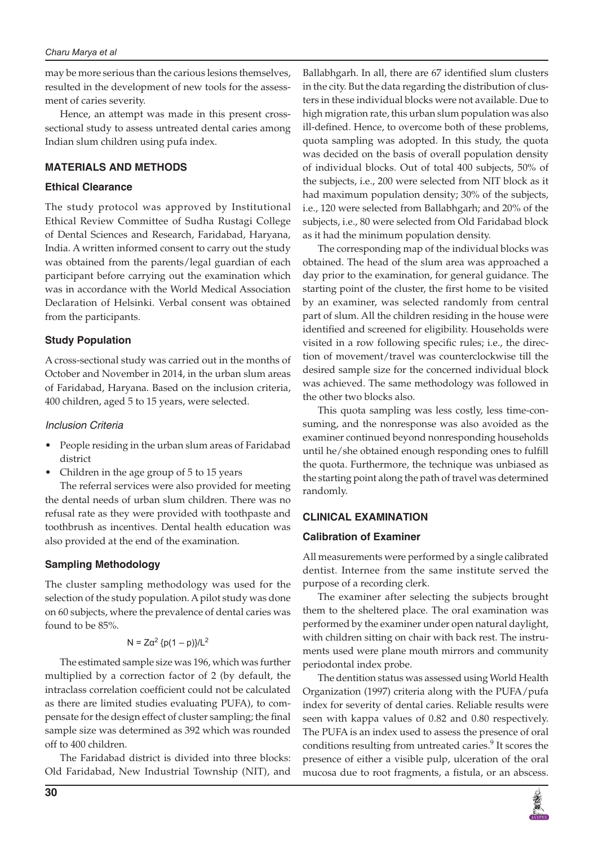#### *Charu Marya et al*

may be more serious than the carious lesions themselves, resulted in the development of new tools for the assessment of caries severity.

Hence, an attempt was made in this present crosssectional study to assess untreated dental caries among Indian slum children using pufa index.

# **MATERIALS AND METHODS**

## **Ethical Clearance**

The study protocol was approved by Institutional Ethical Review Committee of Sudha Rustagi College of Dental Sciences and Research, Faridabad, Haryana, India. A written informed consent to carry out the study was obtained from the parents/legal guardian of each participant before carrying out the examination which was in accordance with the World Medical Association Declaration of Helsinki. Verbal consent was obtained from the participants.

# **Study Population**

A cross-sectional study was carried out in the months of October and November in 2014, in the urban slum areas of Faridabad, Haryana. Based on the inclusion criteria, 400 children, aged 5 to 15 years, were selected.

## *Inclusion Criteria*

- People residing in the urban slum areas of Faridabad district
- Children in the age group of 5 to 15 years

The referral services were also provided for meeting the dental needs of urban slum children. There was no refusal rate as they were provided with toothpaste and toothbrush as incentives. Dental health education was also provided at the end of the examination.

## **Sampling Methodology**

The cluster sampling methodology was used for the selection of the study population. A pilot study was done on 60 subjects, where the prevalence of dental caries was found to be 85%.

## N = Zα<sup>2</sup> {p(1 – p)}/L<sup>2</sup>

The estimated sample size was 196, which was further multiplied by a correction factor of 2 (by default, the intraclass correlation coefficient could not be calculated as there are limited studies evaluating PUFA), to compensate for the design effect of cluster sampling; the final sample size was determined as 392 which was rounded off to 400 children.

The Faridabad district is divided into three blocks: Old Faridabad, New Industrial Township (NIT), and Ballabhgarh. In all, there are 67 identified slum clusters in the city. But the data regarding the distribution of clusters in these individual blocks were not available. Due to high migration rate, this urban slum population was also ill-defined. Hence, to overcome both of these problems, quota sampling was adopted. In this study, the quota was decided on the basis of overall population density of individual blocks. Out of total 400 subjects, 50% of the subjects, i.e., 200 were selected from NIT block as it had maximum population density; 30% of the subjects, i.e., 120 were selected from Ballabhgarh; and 20% of the subjects, i.e., 80 were selected from Old Faridabad block as it had the minimum population density.

The corresponding map of the individual blocks was obtained. The head of the slum area was approached a day prior to the examination, for general guidance. The starting point of the cluster, the first home to be visited by an examiner, was selected randomly from central part of slum. All the children residing in the house were identified and screened for eligibility. Households were visited in a row following specific rules; i.e., the direction of movement/travel was counterclockwise till the desired sample size for the concerned individual block was achieved. The same methodology was followed in the other two blocks also.

This quota sampling was less costly, less time-consuming, and the nonresponse was also avoided as the examiner continued beyond nonresponding households until he/she obtained enough responding ones to fulfill the quota. Furthermore, the technique was unbiased as the starting point along the path of travel was determined randomly.

## **CLINICAL EXAMINATION**

## **Calibration of Examiner**

All measurements were performed by a single calibrated dentist. Internee from the same institute served the purpose of a recording clerk.

The examiner after selecting the subjects brought them to the sheltered place. The oral examination was performed by the examiner under open natural daylight, with children sitting on chair with back rest. The instruments used were plane mouth mirrors and community periodontal index probe.

The dentition status was assessed using World Health Organization (1997) criteria along with the PUFA/pufa index for severity of dental caries. Reliable results were seen with kappa values of 0.82 and 0.80 respectively. The PUFA is an index used to assess the presence of oral conditions resulting from untreated caries.<sup>9</sup> It scores the presence of either a visible pulp, ulceration of the oral mucosa due to root fragments, a fistula, or an abscess.

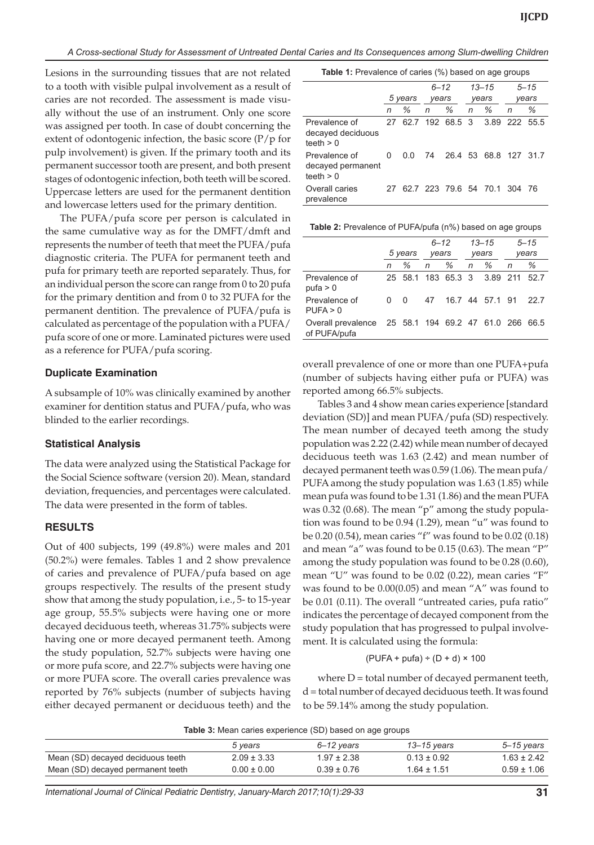*A Cross-sectional Study for Assessment of Untreated Dental Caries and Its Consequences among Slum-dwelling Children*

Lesions in the surrounding tissues that are not related to a tooth with visible pulpal involvement as a result of caries are not recorded. The assessment is made visually without the use of an instrument. Only one score was assigned per tooth. In case of doubt concerning the extent of odontogenic infection, the basic score  $(P/p)$  for pulp involvement) is given. If the primary tooth and its permanent successor tooth are present, and both present stages of odontogenic infection, both teeth will be scored. Uppercase letters are used for the permanent dentition and lowercase letters used for the primary dentition.

The PUFA/pufa score per person is calculated in the same cumulative way as for the DMFT/dmft and represents the number of teeth that meet the PUFA/pufa diagnostic criteria. The PUFA for permanent teeth and pufa for primary teeth are reported separately. Thus, for an individual person the score can range from 0 to 20 pufa for the primary dentition and from 0 to 32 PUFA for the permanent dentition. The prevalence of PUFA/pufa is calculated as percentage of the population with a PUFA/ pufa score of one or more. Laminated pictures were used as a reference for PUFA/pufa scoring.

#### **Duplicate Examination**

A subsample of 10% was clinically examined by another examiner for dentition status and PUFA/pufa, who was blinded to the earlier recordings.

#### **Statistical Analysis**

The data were analyzed using the Statistical Package for the Social Science software (version 20). Mean, standard deviation, frequencies, and percentages were calculated. The data were presented in the form of tables.

#### **RESULTS**

Out of 400 subjects, 199 (49.8%) were males and 201 (50.2%) were females. Tables 1 and 2 show prevalence of caries and prevalence of PUFA/pufa based on age groups respectively. The results of the present study show that among the study population, i.e., 5- to 15-year age group, 55.5% subjects were having one or more decayed deciduous teeth, whereas 31.75% subjects were having one or more decayed permanent teeth. Among the study population, 52.7% subjects were having one or more pufa score, and 22.7% subjects were having one or more PUFA score. The overall caries prevalence was reported by 76% subjects (number of subjects having either decayed permanent or deciduous teeth) and the

|                                                   |         |     | $6 - 12$ |   | $13 - 15$ |                                  | $5 - 15$ |   |
|---------------------------------------------------|---------|-----|----------|---|-----------|----------------------------------|----------|---|
|                                                   | 5 years |     | years    |   | years     |                                  | years    |   |
|                                                   | n       | %   | n        | % | n         | %                                | n        | ℅ |
| Prevalence of<br>decayed deciduous<br>teeth $> 0$ |         |     |          |   |           | 27 62.7 192 68.5 3 3.89 222 55.5 |          |   |
| Prevalence of<br>decayed permanent<br>teeth $> 0$ | 0       | 0.0 |          |   |           | 74 26.4 53 68.8 127 31.7         |          |   |
| Overall caries<br>prevalence                      | 27      |     |          |   |           | 62.7 223 79.6 54 70.1 304 76     |          |   |

|                                                                 | 5 years      |          | $6 - 12$ |   | $13 - 15$ |                             | $5 - 15$ |      |
|-----------------------------------------------------------------|--------------|----------|----------|---|-----------|-----------------------------|----------|------|
|                                                                 |              |          | years    |   | years     |                             | years    |      |
|                                                                 | n            | %        | n        | ℅ | n         | %                           | n        | ℅    |
| Prevalence of<br>puta > 0                                       |              |          |          |   |           | 25 58.1 183 65.3 3 3.89 211 |          | 52.7 |
| Prevalence of<br>PUFA > 0                                       | <sup>n</sup> | $\Omega$ | 47       |   |           | 16.7 44 57.1 91             |          | 22.7 |
| Overall prevalence 25 58.1 194 69.2 47 61.0 266<br>of PUFA/pufa |              |          |          |   |           |                             |          | 66.5 |

overall prevalence of one or more than one PUFA+pufa (number of subjects having either pufa or PUFA) was reported among 66.5% subjects.

Tables 3 and 4 show mean caries experience [standard deviation (SD)] and mean PUFA/pufa (SD) respectively. The mean number of decayed teeth among the study population was 2.22 (2.42) while mean number of decayed deciduous teeth was 1.63 (2.42) and mean number of decayed permanent teeth was 0.59 (1.06). The mean pufa/ PUFA among the study population was 1.63 (1.85) while mean pufa was found to be 1.31 (1.86) and the mean PUFA was 0.32 (0.68). The mean "p" among the study population was found to be 0.94 (1.29), mean "u" was found to be 0.20 (0.54), mean caries "f" was found to be 0.02 (0.18) and mean "a" was found to be 0.15 (0.63). The mean "P" among the study population was found to be 0.28 (0.60), mean "U" was found to be 0.02 (0.22), mean caries "F" was found to be 0.00(0.05) and mean "A" was found to be 0.01 (0.11). The overall "untreated caries, pufa ratio" indicates the percentage of decayed component from the study population that has progressed to pulpal involvement. It is calculated using the formula:

#### $(PUFA + puta) ÷ (D + d) × 100$

where  $D =$  total number of decayed permanent teeth, d = total number of decayed deciduous teeth. It was found to be 59.14% among the study population.

**Table 3:** Mean caries experience (SD) based on age groups

|                                   | 5 years         | 6–12 vears      | 13–15 vears     | 5–15 years      |
|-----------------------------------|-----------------|-----------------|-----------------|-----------------|
| Mean (SD) decayed deciduous teeth | $2.09 \pm 3.33$ | $1.97 \pm 2.38$ | $0.13 \pm 0.92$ | $1.63 \pm 2.42$ |
| Mean (SD) decayed permanent teeth | $0.00 \pm 0.00$ | $0.39 \pm 0.76$ | 1.64 + 1.51     | $0.59 \pm 1.06$ |

*International Journal of Clinical Pediatric Dentistry, January-March 2017;10(1):29-33* **31**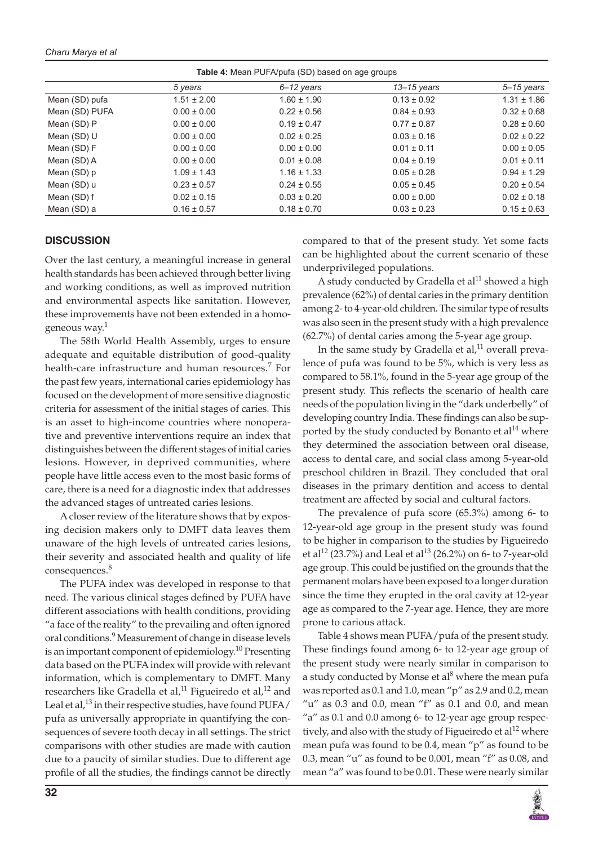*Charu Marya et al*

**Table 4:** Mean PUFA/pufa (SD) based on age groups *5 years 6–12 years 13–15 years 5–15 years* Mean (SD) pufa  $1.51 \pm 2.00$   $1.60 \pm 1.90$   $0.13 \pm 0.92$   $1.31 \pm 1.86$ Mean (SD) PUFA  $0.00 \pm 0.00$   $0.22 \pm 0.56$   $0.84 \pm 0.93$   $0.32 \pm 0.68$ Mean (SD) P 0.00 ± 0.00 0.19 ± 0.47 0.77 ± 0.87 0.28 ± 0.60 Mean (SD) U  $0.00 \pm 0.00$   $0.02 \pm 0.25$  0.03  $\pm 0.16$  0.02  $\pm 0.22$ Mean (SD) F 0.00 ± 0.00 0.00 ± 0.00 0.01 ± 0.11 0.00 ± 0.05 Mean (SD) A 0.00 ± 0.00 0.01 ± 0.08 0.04 ± 0.19 0.01 ± 0.11 Mean (SD) p 1.09 ± 1.43 1.16 ± 1.33 0.05 ± 0.28 0.94 ± 1.29 Mean (SD) u 0.23 ± 0.57 0.24 ± 0.55 0.05 ± 0.45 0.20 ± 0.54 Mean (SD) f 0.02 ± 0.15 0.03 ± 0.20 0.00 ± 0.00 0.02 ± 0.18 Mean (SD) a 0.16 ± 0.57 0.18 ± 0.70 0.03 ± 0.23 0.15 ± 0.63

### **DISCUSSION**

Over the last century, a meaningful increase in general health standards has been achieved through better living and working conditions, as well as improved nutrition and environmental aspects like sanitation. However, these improvements have not been extended in a homogeneous way.<sup>1</sup>

The 58th World Health Assembly, urges to ensure adequate and equitable distribution of good-quality health-care infrastructure and human resources.<sup>7</sup> For the past few years, international caries epidemiology has focused on the development of more sensitive diagnostic criteria for assessment of the initial stages of caries. This is an asset to high-income countries where nonoperative and preventive interventions require an index that distinguishes between the different stages of initial caries lesions. However, in deprived communities, where people have little access even to the most basic forms of care, there is a need for a diagnostic index that addresses the advanced stages of untreated caries lesions.

A closer review of the literature shows that by exposing decision makers only to DMFT data leaves them unaware of the high levels of untreated caries lesions, their severity and associated health and quality of life consequences.<sup>8</sup>

The PUFA index was developed in response to that need. The various clinical stages defined by PUFA have different associations with health conditions, providing "a face of the reality" to the prevailing and often ignored oral conditions.<sup>9</sup> Measurement of change in disease levels is an important component of epidemiology.<sup>10</sup> Presenting data based on the PUFA index will provide with relevant information, which is complementary to DMFT. Many researchers like Gradella et al,<sup>11</sup> Figueiredo et al,<sup>12</sup> and Leal et al,  $^{13}$  in their respective studies, have found PUFA/ pufa as universally appropriate in quantifying the consequences of severe tooth decay in all settings. The strict comparisons with other studies are made with caution due to a paucity of similar studies. Due to different age profile of all the studies, the findings cannot be directly

compared to that of the present study. Yet some facts can be highlighted about the current scenario of these underprivileged populations.

A study conducted by Gradella et al $^{11}$  showed a high prevalence (62%) of dental caries in the primary dentition among 2- to 4-year-old children. The similar type of results was also seen in the present study with a high prevalence (62.7%) of dental caries among the 5-year age group.

In the same study by Gradella et al, $11$  overall prevalence of pufa was found to be 5%, which is very less as compared to 58.1%, found in the 5-year age group of the present study. This reflects the scenario of health care needs of the population living in the "dark underbelly" of developing country India. These findings can also be supported by the study conducted by Bonanto et  $al<sup>14</sup>$  where they determined the association between oral disease, access to dental care, and social class among 5-year-old preschool children in Brazil. They concluded that oral diseases in the primary dentition and access to dental treatment are affected by social and cultural factors.

The prevalence of pufa score (65.3%) among 6- to 12-year-old age group in the present study was found to be higher in comparison to the studies by Figueiredo et al<sup>12</sup> (23.7%) and Leal et al<sup>13</sup> (26.2%) on 6- to 7-year-old age group. This could be justified on the grounds that the permanent molars have been exposed to a longer duration since the time they erupted in the oral cavity at 12-year age as compared to the 7-year age. Hence, they are more prone to carious attack.

Table 4 shows mean PUFA/pufa of the present study. These findings found among 6- to 12-year age group of the present study were nearly similar in comparison to a study conducted by Monse et al $^8$  where the mean pufa was reported as 0.1 and 1.0, mean "p" as 2.9 and 0.2, mean " $u$ " as 0.3 and 0.0, mean "f" as 0.1 and 0.0, and mean "a" as 0.1 and 0.0 among 6- to 12-year age group respectively, and also with the study of Figueiredo et al<sup>12</sup> where mean pufa was found to be 0.4, mean "p" as found to be 0.3, mean "u" as found to be 0.001, mean "f" as 0.08, and mean "a" was found to be 0.01. These were nearly similar